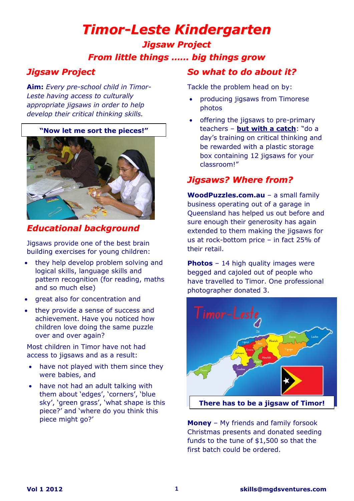# *Timor-Leste Kindergarten*

### *Jigsaw Project From little things …… big things grow*

### *Jigsaw Project*

**Aim:** *Every pre-school child in Timor-Leste having access to culturally appropriate jigsaws in order to help develop their critical thinking skills.*

#### **"Now let me sort the pieces!"**



### *Educational background*

Jigsaws provide one of the best brain building exercises for young children:

- they help develop problem solving and logical skills, language skills and pattern recognition (for reading, maths and so much else)
- great also for concentration and
- they provide a sense of success and achievement. Have you noticed how children love doing the same puzzle over and over again?

Most children in Timor have not had access to jigsaws and as a result:

- have not played with them since they were babies, and
- have not had an adult talking with them about 'edges', 'corners', 'blue sky', 'green grass', 'what shape is this piece?' and 'where do you think this piece might go?'

### *So what to do about it?*

Tackle the problem head on by:

- producing jigsaws from Timorese photos
- offering the jigsaws to pre-primary teachers – **but with a catch**: "do a day's training on critical thinking and be rewarded with a plastic storage box containing 12 jigsaws for your classroom!"

### *Jigsaws? Where from?*

**WoodPuzzles.com.au** – a small family business operating out of a garage in Queensland has helped us out before and sure enough their generosity has again extended to them making the jigsaws for us at rock-bottom price – in fact 25% of their retail.

**Photos** – 14 high quality images were begged and cajoled out of people who have travelled to Timor. One professional photographer donated 3.



**Money** – My friends and family forsook Christmas presents and donated seeding funds to the tune of \$1,500 so that the first batch could be ordered.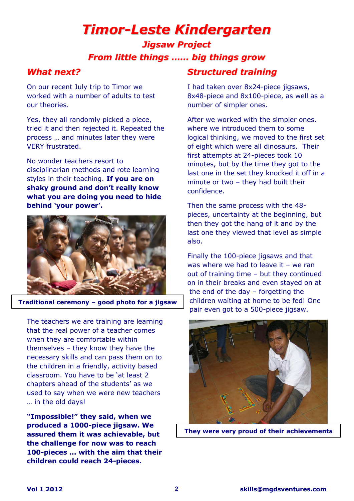# *Timor-Leste Kindergarten*

### *Jigsaw Project From little things …… big things grow*

### *What next?*

On our recent July trip to Timor we worked with a number of adults to test our theories.

Yes, they all randomly picked a piece, tried it and then rejected it. Repeated the process … and minutes later they were VERY frustrated.

No wonder teachers resort to disciplinarian methods and rote learning styles in their teaching. **If you are on shaky ground and don't really know what you are doing you need to hide behind 'your power'.**



**Traditional ceremony – good photo for a jigsaw**

The teachers we are training are learning that the real power of a teacher comes when they are comfortable within themselves – they know they have the necessary skills and can pass them on to the children in a friendly, activity based classroom. You have to be 'at least 2 chapters ahead of the students' as we used to say when we were new teachers … in the old days!

**"Impossible!" they said, when we produced a 1000-piece jigsaw. We assured them it was achievable, but the challenge for now was to reach 100-pieces ... with the aim that their children could reach 24-pieces.**

### *Structured training*

I had taken over 8x24-piece jigsaws, 8x48-piece and 8x100-piece, as well as a number of simpler ones.

After we worked with the simpler ones. where we introduced them to some logical thinking, we moved to the first set of eight which were all dinosaurs. Their first attempts at 24-pieces took 10 minutes, but by the time they got to the last one in the set they knocked it off in a minute or two – they had built their confidence.

Then the same process with the 48 pieces, uncertainty at the beginning, but then they got the hang of it and by the last one they viewed that level as simple also.

Finally the 100-piece jigsaws and that was where we had to leave it – we ran out of training time – but they continued on in their breaks and even stayed on at the end of the day – forgetting the children waiting at home to be fed! One pair even got to a 500-piece jigsaw.



**They were very proud of their achievements**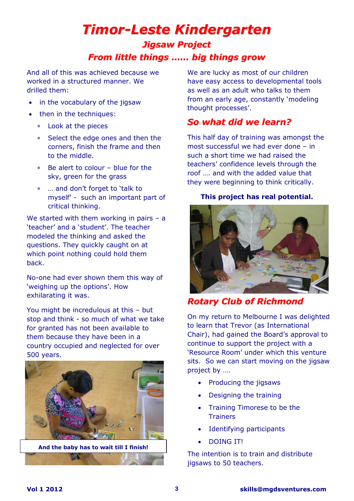## *Timor-Leste Kindergarten Jigsaw Project*

## *From little things …… big things grow*

And all of this was achieved because we worked in a structured manner. We drilled them:

- in the vocabulary of the jigsaw
- then in the techniques:
	- Look at the pieces
	- Select the edge ones and then the corners, finish the frame and then to the middle.
	- $*$  Be alert to colour blue for the sky, green for the grass
	- … and don't forget to 'talk to myself' - such an important part of critical thinking.

We started with them working in pairs - a 'teacher' and a 'student'. The teacher modeled the thinking and asked the questions. They quickly caught on at which point nothing could hold them back.

No-one had ever shown them this way of 'weighing up the options'. How exhilarating it was.

You might be incredulous at this – but stop and think - so much of what we take for granted has not been available to them because they have been in a country occupied and neglected for over 500 years.



**And the baby has to wait till I finish!**

本人

We are lucky as most of our children have easy access to developmental tools as well as an adult who talks to them from an early age, constantly 'modeling thought processes'.

#### *So what did we learn?*

This half day of training was amongst the most successful we had ever done – in such a short time we had raised the teachers' confidence levels through the roof …. and with the added value that they were beginning to think critically.

#### **This project has real potential.**



### *Rotary Club of Richmond*

On my return to Melbourne I was delighted to learn that Trevor (as International Chair), had gained the Board's approval to continue to support the project with a 'Resource Room' under which this venture sits. So we can start moving on the jigsaw project by ….

- Producing the jigsaws
- Designing the training
- Training Timorese to be the **Trainers**
- Identifying participants
- DOING IT!

The intention is to train and distribute jigsaws to 50 teachers.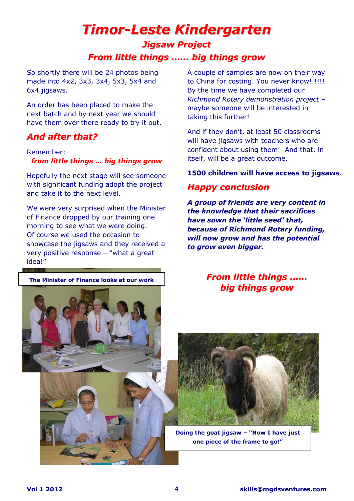## *Timor-Leste Kindergarten Jigsaw Project From little things …… big things grow*

So shortly there will be 24 photos being made into 4x2, 3x3, 3x4, 5x3, 5x4 and 6x4 jigsaws.

An order has been placed to make the next batch and by next year we should have them over there ready to try it out.

### *And after that?*

Remember: *from little things … big things grow*

Hopefully the next stage will see someone with significant funding adopt the project and take it to the next level.

We were very surprised when the Minister of Finance dropped by our training one morning to see what we were doing. Of course we used the occasion to showcase the jigsaws and they received a very positive response – "what a great idea!"

**The Minister of Finance looks at our work**

A couple of samples are now on their way to China for costing. You never know!!!!!!! By the time we have completed our *Richmond Rotary demonstration project* – maybe someone will be interested in taking this further!

And if they don't, at least 50 classrooms will have jigsaws with teachers who are confident about using them! And that, in itself, will be a great outcome.

#### **1500 children will have access to jigsaws**.

#### *Happy conclusion*

*A group of friends are very content in the knowledge that their sacrifices have sown the 'little seed' that, because of Richmond Rotary funding, will now grow and has the potential to grow even bigger.*

### *From little things …… big things grow*



**Doing the goat jigsaw – "Now I have just one piece of the frame to go!"**